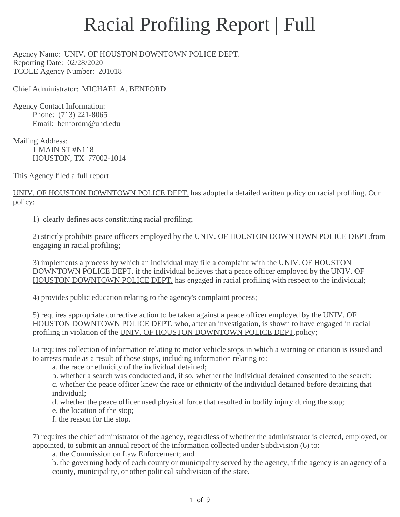## Racial Profiling Report | Full

\_\_\_\_\_\_\_\_\_\_\_\_\_\_\_\_\_\_\_\_\_\_\_\_\_\_\_\_\_\_\_\_\_\_\_\_\_\_\_\_\_\_\_\_\_\_\_\_\_\_\_\_\_\_\_\_\_\_\_\_\_\_\_\_\_\_\_\_\_\_\_\_\_\_\_\_\_\_\_\_\_\_\_\_\_\_\_\_\_\_\_\_\_\_\_\_\_\_\_\_\_\_\_\_\_\_\_\_\_\_\_\_\_\_\_\_\_\_\_\_\_\_\_\_\_\_\_

Agency Name: UNIV. OF HOUSTON DOWNTOWN POLICE DEPT. Reporting Date: 02/28/2020 TCOLE Agency Number: 201018

Chief Administrator: MICHAEL A. BENFORD

Agency Contact Information: Phone: (713) 221-8065 Email: benfordm@uhd.edu

Mailing Address: 1 MAIN ST #N118 HOUSTON, TX 77002-1014

This Agency filed a full report

UNIV. OF HOUSTON DOWNTOWN POLICE DEPT. has adopted a detailed written policy on racial profiling. Our policy:

1) clearly defines acts constituting racial profiling;

2) strictly prohibits peace officers employed by the UNIV. OF HOUSTON DOWNTOWN POLICE DEPT from engaging in racial profiling;

3) implements a process by which an individual may file a complaint with the UNIV. OF HOUSTON DOWNTOWN POLICE DEPT. if the individual believes that a peace officer employed by the UNIV. OF HOUSTON DOWNTOWN POLICE DEPT. has engaged in racial profiling with respect to the individual;

4) provides public education relating to the agency's complaint process;

5) requires appropriate corrective action to be taken against a peace officer employed by the UNIV. OF HOUSTON DOWNTOWN POLICE DEPT. who, after an investigation, is shown to have engaged in racial profiling in violation of the UNIV. OF HOUSTON DOWNTOWN POLICE DEPT. policy;

6) requires collection of information relating to motor vehicle stops in which a warning or citation is issued and to arrests made as a result of those stops, including information relating to:

a. the race or ethnicity of the individual detained;

b. whether a search was conducted and, if so, whether the individual detained consented to the search;

c. whether the peace officer knew the race or ethnicity of the individual detained before detaining that individual;

d. whether the peace officer used physical force that resulted in bodily injury during the stop;

e. the location of the stop;

f. the reason for the stop.

7) requires the chief administrator of the agency, regardless of whether the administrator is elected, employed, or appointed, to submit an annual report of the information collected under Subdivision (6) to:

a. the Commission on Law Enforcement; and

b. the governing body of each county or municipality served by the agency, if the agency is an agency of a county, municipality, or other political subdivision of the state.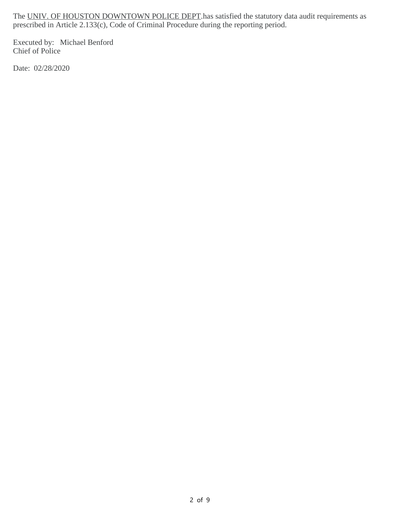The UNIV. OF HOUSTON DOWNTOWN POLICE DEPT has satisfied the statutory data audit requirements as prescribed in Article 2.133(c), Code of Criminal Procedure during the reporting period.

Executed by: Michael Benford Chief of Police

Date: 02/28/2020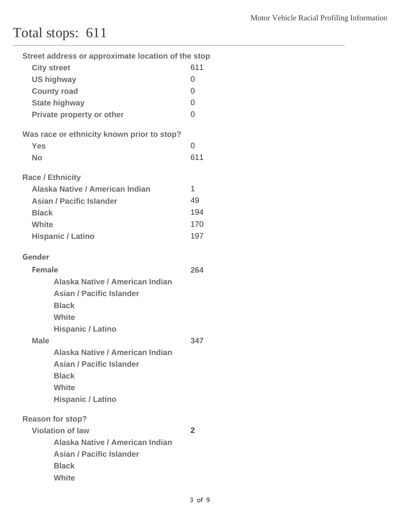## Total stops: 611

| Street address or approximate location of the stop |                |
|----------------------------------------------------|----------------|
| <b>City street</b>                                 | 611            |
| <b>US highway</b>                                  | $\overline{0}$ |
| <b>County road</b>                                 | $\overline{0}$ |
| <b>State highway</b>                               | $\overline{0}$ |
| Private property or other                          | $\overline{0}$ |
| Was race or ethnicity known prior to stop?         |                |
| <b>Yes</b>                                         | $\overline{0}$ |
| <b>No</b>                                          | 611            |
| <b>Race / Ethnicity</b>                            |                |
| Alaska Native / American Indian                    | $\mathbf{1}$   |
| <b>Asian / Pacific Islander</b>                    | 49             |
| <b>Black</b>                                       | 194            |
| White                                              | 170            |
| <b>Hispanic / Latino</b>                           | 197            |
| <b>Gender</b>                                      |                |
| <b>Female</b>                                      | 264            |
| Alaska Native / American Indian                    |                |
| <b>Asian / Pacific Islander</b>                    |                |
| <b>Black</b>                                       |                |
| White                                              |                |
| <b>Hispanic / Latino</b>                           |                |
| <b>Male</b>                                        | 347            |
| Alaska Native / American Indian                    |                |
| <b>Asian / Pacific Islander</b>                    |                |
| <b>Black</b>                                       |                |
| White                                              |                |
| <b>Hispanic / Latino</b>                           |                |
| <b>Reason for stop?</b>                            |                |
| <b>Violation of law</b>                            | $\overline{2}$ |
| Alaska Native / American Indian                    |                |
| <b>Asian / Pacific Islander</b>                    |                |
| <b>Black</b>                                       |                |
| <b>White</b>                                       |                |

\_\_\_\_\_\_\_\_\_\_\_\_\_\_\_\_\_\_\_\_\_\_\_\_\_\_\_\_\_\_\_\_\_\_\_\_\_\_\_\_\_\_\_\_\_\_\_\_\_\_\_\_\_\_\_\_\_\_\_\_\_\_\_\_\_\_\_\_\_\_\_\_\_\_\_\_\_\_\_\_\_\_\_\_\_\_\_\_\_\_\_\_\_\_\_\_\_\_\_\_\_\_\_\_\_\_\_\_\_\_\_\_\_\_\_\_\_\_\_\_\_\_\_\_\_\_\_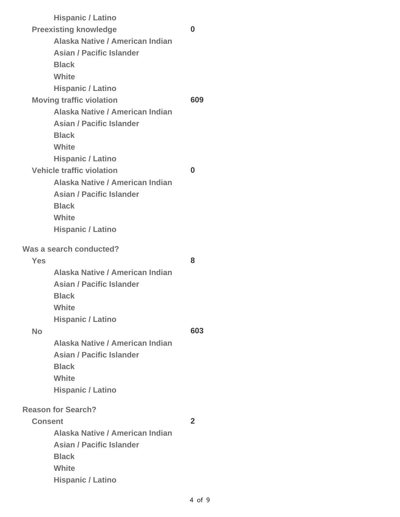| <b>Hispanic / Latino</b>         |                                                                                         |
|----------------------------------|-----------------------------------------------------------------------------------------|
| <b>Preexisting knowledge</b>     | 0                                                                                       |
| Alaska Native / American Indian  |                                                                                         |
| <b>Asian / Pacific Islander</b>  |                                                                                         |
| <b>Black</b>                     |                                                                                         |
| <b>White</b>                     |                                                                                         |
| <b>Hispanic / Latino</b>         |                                                                                         |
| <b>Moving traffic violation</b>  | 609                                                                                     |
| Alaska Native / American Indian  |                                                                                         |
| <b>Asian / Pacific Islander</b>  |                                                                                         |
| <b>Black</b>                     |                                                                                         |
| <b>White</b>                     |                                                                                         |
| <b>Hispanic / Latino</b>         |                                                                                         |
| <b>Vehicle traffic violation</b> | 0                                                                                       |
| Alaska Native / American Indian  |                                                                                         |
| <b>Asian / Pacific Islander</b>  |                                                                                         |
| <b>Black</b>                     |                                                                                         |
|                                  |                                                                                         |
|                                  |                                                                                         |
| Was a search conducted?          |                                                                                         |
|                                  | 8                                                                                       |
| Alaska Native / American Indian  |                                                                                         |
| <b>Asian / Pacific Islander</b>  |                                                                                         |
| Black                            |                                                                                         |
| White                            |                                                                                         |
| <b>Hispanic / Latino</b>         |                                                                                         |
|                                  | 603                                                                                     |
| Alaska Native / American Indian  |                                                                                         |
| <b>Asian / Pacific Islander</b>  |                                                                                         |
| <b>Black</b>                     |                                                                                         |
| <b>White</b>                     |                                                                                         |
| <b>Hispanic / Latino</b>         |                                                                                         |
|                                  |                                                                                         |
|                                  | $\mathbf 2$                                                                             |
| Alaska Native / American Indian  |                                                                                         |
| <b>Asian / Pacific Islander</b>  |                                                                                         |
| <b>Black</b>                     |                                                                                         |
| <b>White</b>                     |                                                                                         |
| <b>Hispanic / Latino</b>         |                                                                                         |
|                                  | <b>White</b><br><b>Hispanic / Latino</b><br><b>Reason for Search?</b><br><b>Consent</b> |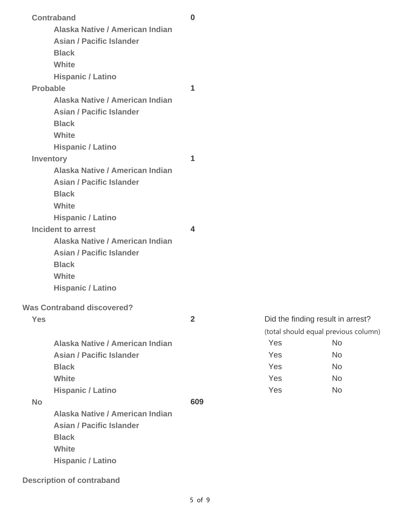| <b>Contraband</b>                                     | $\bf{0}$                |     |                                      |
|-------------------------------------------------------|-------------------------|-----|--------------------------------------|
| Alaska Native / American Indian                       |                         |     |                                      |
| <b>Asian / Pacific Islander</b>                       |                         |     |                                      |
| <b>Black</b>                                          |                         |     |                                      |
| White                                                 |                         |     |                                      |
| <b>Hispanic / Latino</b>                              |                         |     |                                      |
| <b>Probable</b>                                       | 1                       |     |                                      |
| Alaska Native / American Indian                       |                         |     |                                      |
| <b>Asian / Pacific Islander</b>                       |                         |     |                                      |
| <b>Black</b>                                          |                         |     |                                      |
| White                                                 |                         |     |                                      |
| <b>Hispanic / Latino</b>                              |                         |     |                                      |
|                                                       | 1                       |     |                                      |
| <b>Inventory</b><br>Alaska Native / American Indian   |                         |     |                                      |
| <b>Asian / Pacific Islander</b>                       |                         |     |                                      |
| <b>Black</b>                                          |                         |     |                                      |
| White                                                 |                         |     |                                      |
|                                                       |                         |     |                                      |
| <b>Hispanic / Latino</b><br><b>Incident to arrest</b> | $\overline{\mathbf{4}}$ |     |                                      |
| Alaska Native / American Indian                       |                         |     |                                      |
| <b>Asian / Pacific Islander</b>                       |                         |     |                                      |
| <b>Black</b>                                          |                         |     |                                      |
| White                                                 |                         |     |                                      |
|                                                       |                         |     |                                      |
| <b>Hispanic / Latino</b>                              |                         |     |                                      |
| <b>Was Contraband discovered?</b>                     |                         |     |                                      |
| <b>Yes</b>                                            | $\overline{2}$          |     | Did the finding result in arrest?    |
|                                                       |                         |     | (total should equal previous column) |
| Alaska Native / American Indian                       |                         | Yes | <b>No</b>                            |
| <b>Asian / Pacific Islander</b>                       |                         | Yes | <b>No</b>                            |
| <b>Black</b>                                          |                         | Yes | <b>No</b>                            |
| White                                                 |                         | Yes | <b>No</b>                            |
| <b>Hispanic / Latino</b>                              |                         | Yes | <b>No</b>                            |
| <b>No</b>                                             | 609                     |     |                                      |
| Alaska Native / American Indian                       |                         |     |                                      |
| <b>Asian / Pacific Islander</b>                       |                         |     |                                      |
| <b>Black</b>                                          |                         |     |                                      |
| White                                                 |                         |     |                                      |
| <b>Hispanic / Latino</b>                              |                         |     |                                      |
|                                                       |                         |     |                                      |

**Description of contraband**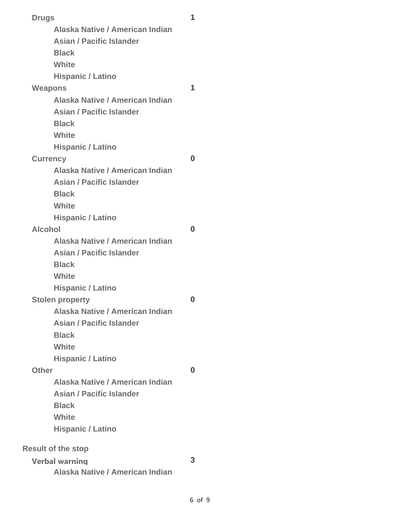| <b>Drugs</b>                    | 1        |  |
|---------------------------------|----------|--|
| Alaska Native / American Indian |          |  |
| <b>Asian / Pacific Islander</b> |          |  |
| <b>Black</b>                    |          |  |
| <b>White</b>                    |          |  |
| <b>Hispanic / Latino</b>        |          |  |
| <b>Weapons</b>                  | 1        |  |
| Alaska Native / American Indian |          |  |
| <b>Asian / Pacific Islander</b> |          |  |
| <b>Black</b>                    |          |  |
| White                           |          |  |
| <b>Hispanic / Latino</b>        |          |  |
| <b>Currency</b>                 | $\bf{0}$ |  |
| Alaska Native / American Indian |          |  |
| <b>Asian / Pacific Islander</b> |          |  |
| <b>Black</b>                    |          |  |
| <b>White</b>                    |          |  |
| <b>Hispanic / Latino</b>        |          |  |
| <b>Alcohol</b>                  | 0        |  |
| Alaska Native / American Indian |          |  |
| <b>Asian / Pacific Islander</b> |          |  |
| <b>Black</b>                    |          |  |
| <b>White</b>                    |          |  |
| <b>Hispanic / Latino</b>        |          |  |
| <b>Stolen property</b>          | 0        |  |
| Alaska Native / American Indian |          |  |
| <b>Asian / Pacific Islander</b> |          |  |
| <b>Black</b>                    |          |  |
| <b>White</b>                    |          |  |
| <b>Hispanic / Latino</b>        |          |  |
| <b>Other</b>                    | 0        |  |
| Alaska Native / American Indian |          |  |
| <b>Asian / Pacific Islander</b> |          |  |
| <b>Black</b>                    |          |  |
| <b>White</b>                    |          |  |
| <b>Hispanic / Latino</b>        |          |  |
| <b>Result of the stop</b>       |          |  |
| <b>Verbal warning</b>           | 3        |  |
| Alaska Native / American Indian |          |  |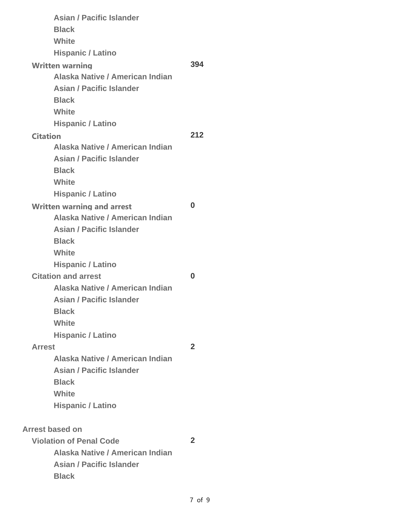|                 | <b>Asian / Pacific Islander</b>   |                |
|-----------------|-----------------------------------|----------------|
|                 | <b>Black</b>                      |                |
|                 | <b>White</b>                      |                |
|                 | <b>Hispanic / Latino</b>          |                |
|                 | <b>Written warning</b>            | 394            |
|                 | Alaska Native / American Indian   |                |
|                 | <b>Asian / Pacific Islander</b>   |                |
|                 | <b>Black</b>                      |                |
|                 | <b>White</b>                      |                |
|                 | <b>Hispanic / Latino</b>          |                |
| <b>Citation</b> |                                   | 212            |
|                 | Alaska Native / American Indian   |                |
|                 | <b>Asian / Pacific Islander</b>   |                |
|                 | <b>Black</b>                      |                |
|                 | <b>White</b>                      |                |
|                 | <b>Hispanic / Latino</b>          |                |
|                 | <b>Written warning and arrest</b> | O              |
|                 | Alaska Native / American Indian   |                |
|                 | <b>Asian / Pacific Islander</b>   |                |
|                 | <b>Black</b>                      |                |
|                 | <b>White</b>                      |                |
|                 | <b>Hispanic / Latino</b>          |                |
|                 | <b>Citation and arrest</b>        | O              |
|                 | Alaska Native / American Indian   |                |
|                 | <b>Asian / Pacific Islander</b>   |                |
|                 | <b>Black</b>                      |                |
|                 | <b>White</b>                      |                |
|                 | <b>Hispanic / Latino</b>          |                |
| <b>Arrest</b>   |                                   | $\overline{2}$ |
|                 | Alaska Native / American Indian   |                |
|                 | <b>Asian / Pacific Islander</b>   |                |
|                 | <b>Black</b>                      |                |
|                 | <b>White</b>                      |                |
|                 | <b>Hispanic / Latino</b>          |                |
|                 | <b>Arrest based on</b>            |                |
|                 | <b>Violation of Penal Code</b>    | $\overline{2}$ |
|                 | Alaska Native / American Indian   |                |
|                 | <b>Asian / Pacific Islander</b>   |                |
|                 | <b>Black</b>                      |                |
|                 |                                   |                |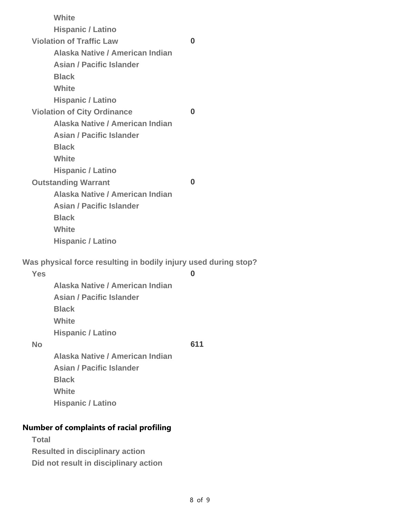|            | White                                                           |          |
|------------|-----------------------------------------------------------------|----------|
|            | <b>Hispanic / Latino</b>                                        |          |
|            | <b>Violation of Traffic Law</b>                                 | O        |
|            | Alaska Native / American Indian                                 |          |
|            | <b>Asian / Pacific Islander</b>                                 |          |
|            | <b>Black</b>                                                    |          |
|            | White                                                           |          |
|            | <b>Hispanic / Latino</b>                                        |          |
|            | <b>Violation of City Ordinance</b>                              | $\bf{0}$ |
|            | Alaska Native / American Indian                                 |          |
|            | <b>Asian / Pacific Islander</b>                                 |          |
|            | <b>Black</b>                                                    |          |
|            | White                                                           |          |
|            | <b>Hispanic / Latino</b>                                        |          |
|            | <b>Outstanding Warrant</b>                                      | $\Omega$ |
|            | Alaska Native / American Indian                                 |          |
|            | <b>Asian / Pacific Islander</b>                                 |          |
|            | <b>Black</b>                                                    |          |
|            | White                                                           |          |
|            | <b>Hispanic / Latino</b>                                        |          |
|            | Was physical force resulting in bodily injury used during stop? |          |
| <b>Yes</b> |                                                                 | $\bf{0}$ |
|            | Alaska Native / American Indian                                 |          |
|            |                                                                 |          |

**Asian / Pacific Islander Black White Hispanic / Latino No 611**

**Alaska Native / American Indian Asian / Pacific Islander Black White Hispanic / Latino**

## **Number of complaints of racial profiling**

| <b>Total</b> |                                        |  |
|--------------|----------------------------------------|--|
|              | <b>Resulted in disciplinary action</b> |  |

**Did not result in disciplinary action**